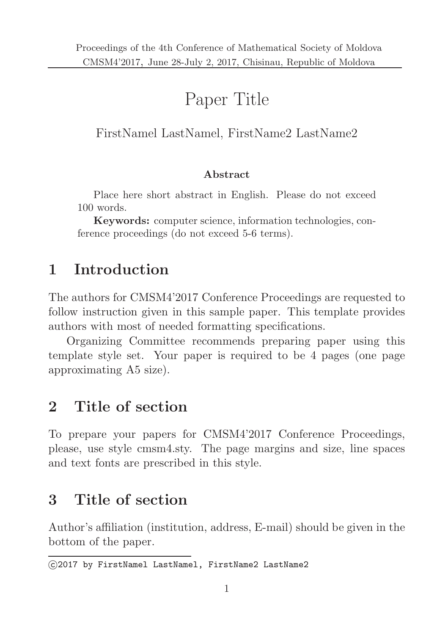# Paper Title

### FirstNamel LastNamel, FirstName2 LastName2

#### Abstract

Place here short abstract in English. Please do not exceed 100 words.

Keywords: computer science, information technologies, conference proceedings (do not exceed 5-6 terms).

## 1 Introduction

The authors for CMSM4'2017 Conference Proceedings are requested to follow instruction given in this sample paper. This template provides authors with most of needed formatting specifications.

Organizing Committee recommends preparing paper using this template style set. Your paper is required to be 4 pages (one page approximating A5 size).

## 2 Title of section

To prepare your papers for CMSM4'2017 Conference Proceedings, please, use style cmsm4.sty. The page margins and size, line spaces and text fonts are prescribed in this style.

## 3 Title of section

Author's affiliation (institution, address, E-mail) should be given in the bottom of the paper.

c 2017 by FirstNamel LastNamel, FirstName2 LastName2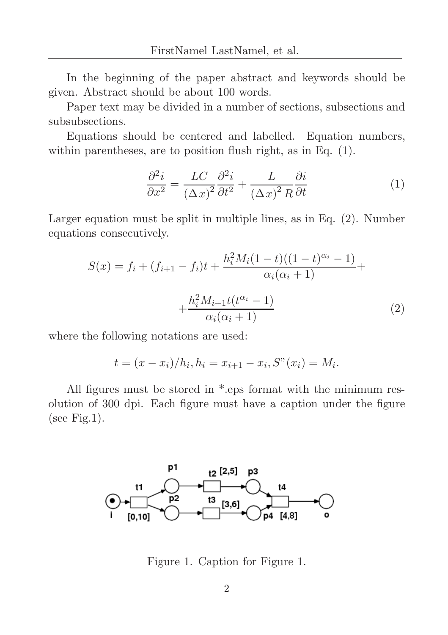In the beginning of the paper abstract and keywords should be given. Abstract should be about 100 words.

Paper text may be divided in a number of sections, subsections and subsubsections.

Equations should be centered and labelled. Equation numbers, within parentheses, are to position flush right, as in Eq. (1).

$$
\frac{\partial^2 i}{\partial x^2} = \frac{LC}{(\Delta x)^2} \frac{\partial^2 i}{\partial t^2} + \frac{L}{(\Delta x)^2 R} \frac{\partial i}{\partial t}
$$
(1)

Larger equation must be split in multiple lines, as in Eq. (2). Number equations consecutively.

$$
S(x) = f_i + (f_{i+1} - f_i)t + \frac{h_i^2 M_i (1 - t)((1 - t)^{\alpha_i} - 1)}{\alpha_i (\alpha_i + 1)} + \frac{h_i^2 M_{i+1} t(t^{\alpha_i} - 1)}{\alpha_i (\alpha_i + 1)}
$$
(2)

where the following notations are used:

$$
t = (x - x_i)/h_i, h_i = x_{i+1} - x_i, S''(x_i) = M_i.
$$

All figures must be stored in \*.eps format with the minimum resolution of 300 dpi. Each figure must have a caption under the figure (see Fig.1).



Figure 1. Caption for Figure 1.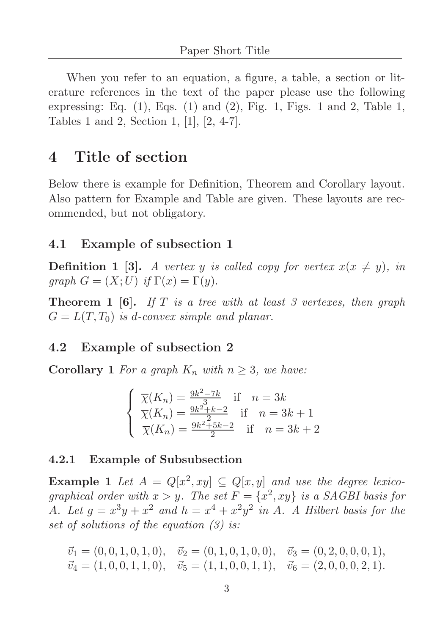When you refer to an equation, a figure, a table, a section or literature references in the text of the paper please use the following expressing: Eq.  $(1)$ , Eqs.  $(1)$  and  $(2)$ , Fig. 1, Figs. 1 and 2, Table 1, Tables 1 and 2, Section 1, [1], [2, 4-7].

### 4 Title of section

Below there is example for Definition, Theorem and Corollary layout. Also pattern for Example and Table are given. These layouts are recommended, but not obligatory.

#### 4.1 Example of subsection 1

**Definition 1 [3].** A vertex y is called copy for vertex  $x(x \neq y)$ , in graph  $G = (X;U)$  if  $\Gamma(x) = \Gamma(y)$ .

**Theorem 1 [6].** If  $T$  is a tree with at least 3 vertexes, then graph  $G = L(T, T_0)$  is d-convex simple and planar.

#### 4.2 Example of subsection 2

**Corollary 1** For a graph  $K_n$  with  $n \geq 3$ , we have:

$$
\begin{cases} \overline{\chi}(K_n) = \frac{9k^2 - 7k}{3} & \text{if } n = 3k\\ \overline{\chi}(K_n) = \frac{9k^2 + k - 2}{3} & \text{if } n = 3k + 1\\ \overline{\chi}(K_n) = \frac{9k^2 + 5k - 2}{2} & \text{if } n = 3k + 2 \end{cases}
$$

#### 4.2.1 Example of Subsubsection

**Example 1** Let  $A = Q[x^2, xy] \subseteq Q[x, y]$  and use the degree lexicographical order with  $x > y$ . The set  $F = \{x^2, xy\}$  is a SAGBI basis for A. Let  $g = x^3y + x^2$  and  $h = x^4 + x^2y^2$  in A. A Hilbert basis for the set of solutions of the equation (3) is:

$$
\vec{v}_1 = (0, 0, 1, 0, 1, 0), \quad \vec{v}_2 = (0, 1, 0, 1, 0, 0), \quad \vec{v}_3 = (0, 2, 0, 0, 0, 1), \n\vec{v}_4 = (1, 0, 0, 1, 1, 0), \quad \vec{v}_5 = (1, 1, 0, 0, 1, 1), \quad \vec{v}_6 = (2, 0, 0, 0, 2, 1).
$$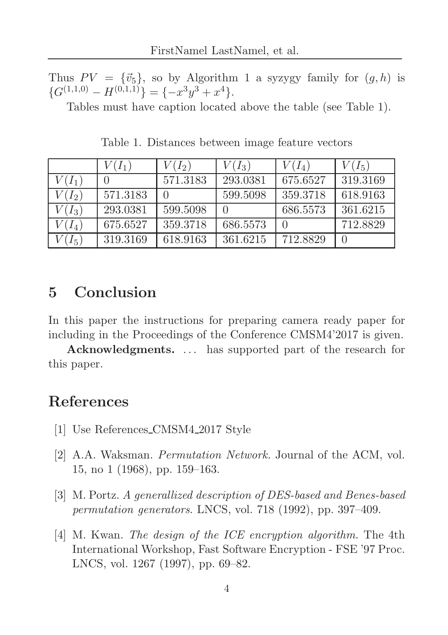Thus  $PV = {\vec{v}_5}$ , so by Algorithm 1 a syzygy family for  $(g, h)$  is  $\{G^{(1,1,0)} - H^{(0,1,1)}\} = \{-x^3y^3 + x^4\}.$ 

Tables must have caption located above the table (see Table 1).

|          | $V(I_1)$ | $V(I_2)$ | $V(I_3)$ | $V(I_4)$ | $V(I_5)$ |
|----------|----------|----------|----------|----------|----------|
| $V(I_1)$ |          | 571.3183 | 293.0381 | 675.6527 | 319.3169 |
| $V(I_2)$ | 571.3183 |          | 599.5098 | 359.3718 | 618.9163 |
| $V(I_3)$ | 293.0381 | 599.5098 |          | 686.5573 | 361.6215 |
| $V(I_4)$ | 675.6527 | 359.3718 | 686.5573 |          | 712.8829 |
| $(I_5)$  | 319.3169 | 618.9163 | 361.6215 | 712.8829 |          |

Table 1. Distances between image feature vectors

## 5 Conclusion

In this paper the instructions for preparing camera ready paper for including in the Proceedings of the Conference CMSM4'2017 is given.

Acknowledgments. ... has supported part of the research for this paper.

### References

- [1] Use References CMSM4 2017 Style
- [2] A.A. Waksman. Permutation Network. Journal of the ACM, vol. 15, no 1 (1968), pp. 159–163.
- [3] M. Portz. A generallized description of DES-based and Benes-based permutation generators. LNCS, vol. 718 (1992), pp. 397–409.
- [4] M. Kwan. The design of the ICE encryption algorithm. The 4th International Workshop, Fast Software Encryption - FSE '97 Proc. LNCS, vol. 1267 (1997), pp. 69–82.